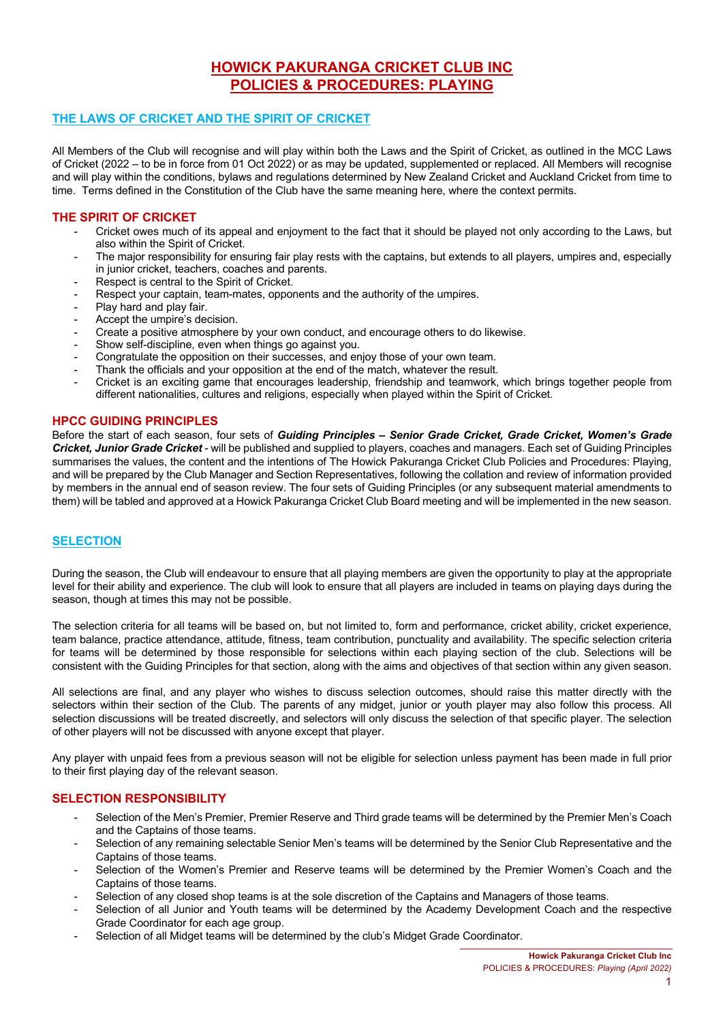# **HOWICK PAKURANGA CRICKET CLUB INC POLICIES & PROCEDURES: PLAYING**

# **THE LAWS OF CRICKET AND THE SPIRIT OF CRICKET**

All Members of the Club will recognise and will play within both the Laws and the Spirit of Cricket, as outlined in the MCC Laws of Cricket (2022 – to be in force from 01 Oct 2022) or as may be updated, supplemented or replaced. All Members will recognise and will play within the conditions, bylaws and regulations determined by New Zealand Cricket and Auckland Cricket from time to time. Terms defined in the Constitution of the Club have the same meaning here, where the context permits.

# **THE SPIRIT OF CRICKET**

- Cricket owes much of its appeal and enjoyment to the fact that it should be played not only according to the Laws, but also within the Spirit of Cricket.
- The major responsibility for ensuring fair play rests with the captains, but extends to all players, umpires and, especially in junior cricket, teachers, coaches and parents.
- Respect is central to the Spirit of Cricket.
- Respect your captain, team-mates, opponents and the authority of the umpires.
- Play hard and play fair.
- Accept the umpire's decision.
- Create a positive atmosphere by your own conduct, and encourage others to do likewise.
- Show self-discipline, even when things go against you.
- Congratulate the opposition on their successes, and enjoy those of your own team.
- Thank the officials and your opposition at the end of the match, whatever the result.
- Cricket is an exciting game that encourages leadership, friendship and teamwork, which brings together people from different nationalities, cultures and religions, especially when played within the Spirit of Cricket.

# **HPCC GUIDING PRINCIPLES**

Before the start of each season, four sets of *Guiding Principles* **–** *Senior Grade Cricket, Grade Cricket, Women's Grade Cricket, Junior Grade Cricket* - will be published and supplied to players, coaches and managers. Each set of Guiding Principles summarises the values, the content and the intentions of The Howick Pakuranga Cricket Club Policies and Procedures: Playing, and will be prepared by the Club Manager and Section Representatives, following the collation and review of information provided by members in the annual end of season review. The four sets of Guiding Principles (or any subsequent material amendments to them) will be tabled and approved at a Howick Pakuranga Cricket Club Board meeting and will be implemented in the new season.

# **SELECTION**

During the season, the Club will endeavour to ensure that all playing members are given the opportunity to play at the appropriate level for their ability and experience. The club will look to ensure that all players are included in teams on playing days during the season, though at times this may not be possible.

The selection criteria for all teams will be based on, but not limited to, form and performance, cricket ability, cricket experience, team balance, practice attendance, attitude, fitness, team contribution, punctuality and availability. The specific selection criteria for teams will be determined by those responsible for selections within each playing section of the club. Selections will be consistent with the Guiding Principles for that section, along with the aims and objectives of that section within any given season.

All selections are final, and any player who wishes to discuss selection outcomes, should raise this matter directly with the selectors within their section of the Club. The parents of any midget, junior or youth player may also follow this process. All selection discussions will be treated discreetly, and selectors will only discuss the selection of that specific player. The selection of other players will not be discussed with anyone except that player.

Any player with unpaid fees from a previous season will not be eligible for selection unless payment has been made in full prior to their first playing day of the relevant season.

# **SELECTION RESPONSIBILITY**

- Selection of the Men's Premier, Premier Reserve and Third grade teams will be determined by the Premier Men's Coach and the Captains of those teams.
- Selection of any remaining selectable Senior Men's teams will be determined by the Senior Club Representative and the Captains of those teams.
- Selection of the Women's Premier and Reserve teams will be determined by the Premier Women's Coach and the Captains of those teams.
- Selection of any closed shop teams is at the sole discretion of the Captains and Managers of those teams.
- Selection of all Junior and Youth teams will be determined by the Academy Development Coach and the respective Grade Coordinator for each age group.
- Selection of all Midget teams will be determined by the club's Midget Grade Coordinator.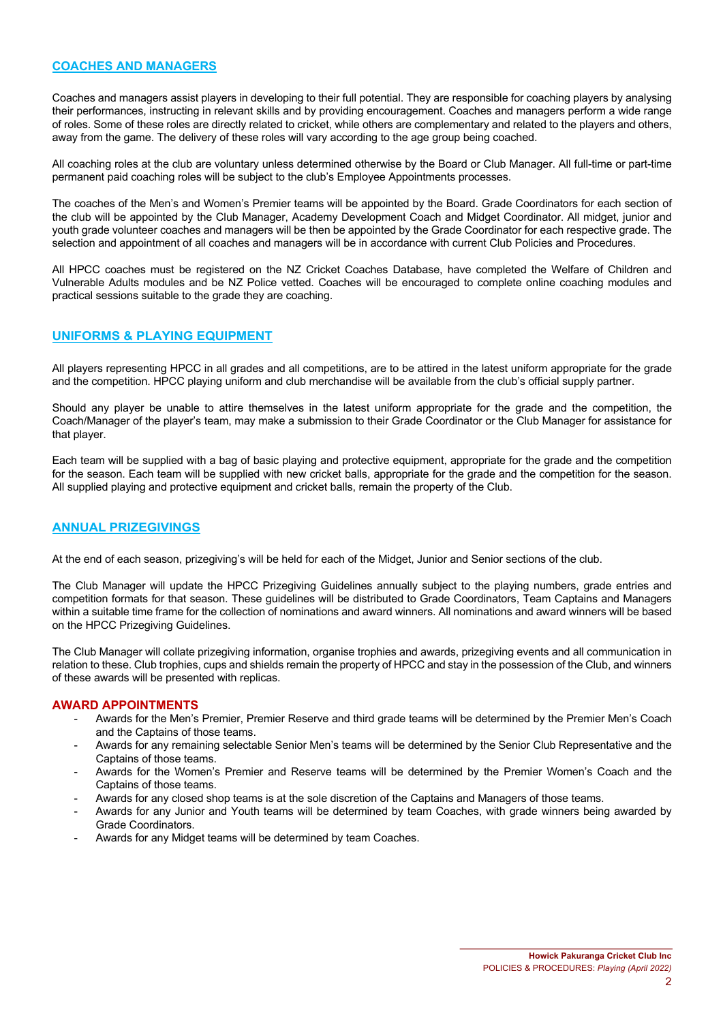### **COACHES AND MANAGERS**

Coaches and managers assist players in developing to their full potential. They are responsible for coaching players by analysing their performances, instructing in relevant skills and by providing encouragement. Coaches and managers perform a wide range of roles. Some of these roles are directly related to cricket, while others are complementary and related to the players and others, away from the game. The delivery of these roles will vary according to the age group being coached.

All coaching roles at the club are voluntary unless determined otherwise by the Board or Club Manager. All full-time or part-time permanent paid coaching roles will be subject to the club's Employee Appointments processes.

The coaches of the Men's and Women's Premier teams will be appointed by the Board. Grade Coordinators for each section of the club will be appointed by the Club Manager, Academy Development Coach and Midget Coordinator. All midget, junior and youth grade volunteer coaches and managers will be then be appointed by the Grade Coordinator for each respective grade. The selection and appointment of all coaches and managers will be in accordance with current Club Policies and Procedures.

All HPCC coaches must be registered on the NZ Cricket Coaches Database, have completed the Welfare of Children and Vulnerable Adults modules and be NZ Police vetted. Coaches will be encouraged to complete online coaching modules and practical sessions suitable to the grade they are coaching.

# **UNIFORMS & PLAYING EQUIPMENT**

All players representing HPCC in all grades and all competitions, are to be attired in the latest uniform appropriate for the grade and the competition. HPCC playing uniform and club merchandise will be available from the club's official supply partner.

Should any player be unable to attire themselves in the latest uniform appropriate for the grade and the competition, the Coach/Manager of the player's team, may make a submission to their Grade Coordinator or the Club Manager for assistance for that player.

Each team will be supplied with a bag of basic playing and protective equipment, appropriate for the grade and the competition for the season. Each team will be supplied with new cricket balls, appropriate for the grade and the competition for the season. All supplied playing and protective equipment and cricket balls, remain the property of the Club.

# **ANNUAL PRIZEGIVINGS**

At the end of each season, prizegiving's will be held for each of the Midget, Junior and Senior sections of the club.

The Club Manager will update the HPCC Prizegiving Guidelines annually subject to the playing numbers, grade entries and competition formats for that season. These guidelines will be distributed to Grade Coordinators, Team Captains and Managers within a suitable time frame for the collection of nominations and award winners. All nominations and award winners will be based on the HPCC Prizegiving Guidelines.

The Club Manager will collate prizegiving information, organise trophies and awards, prizegiving events and all communication in relation to these. Club trophies, cups and shields remain the property of HPCC and stay in the possession of the Club, and winners of these awards will be presented with replicas.

### **AWARD APPOINTMENTS**

- Awards for the Men's Premier, Premier Reserve and third grade teams will be determined by the Premier Men's Coach and the Captains of those teams.
- Awards for any remaining selectable Senior Men's teams will be determined by the Senior Club Representative and the Captains of those teams.
- Awards for the Women's Premier and Reserve teams will be determined by the Premier Women's Coach and the Captains of those teams.
- Awards for any closed shop teams is at the sole discretion of the Captains and Managers of those teams.
- Awards for any Junior and Youth teams will be determined by team Coaches, with grade winners being awarded by Grade Coordinators.
- Awards for any Midget teams will be determined by team Coaches.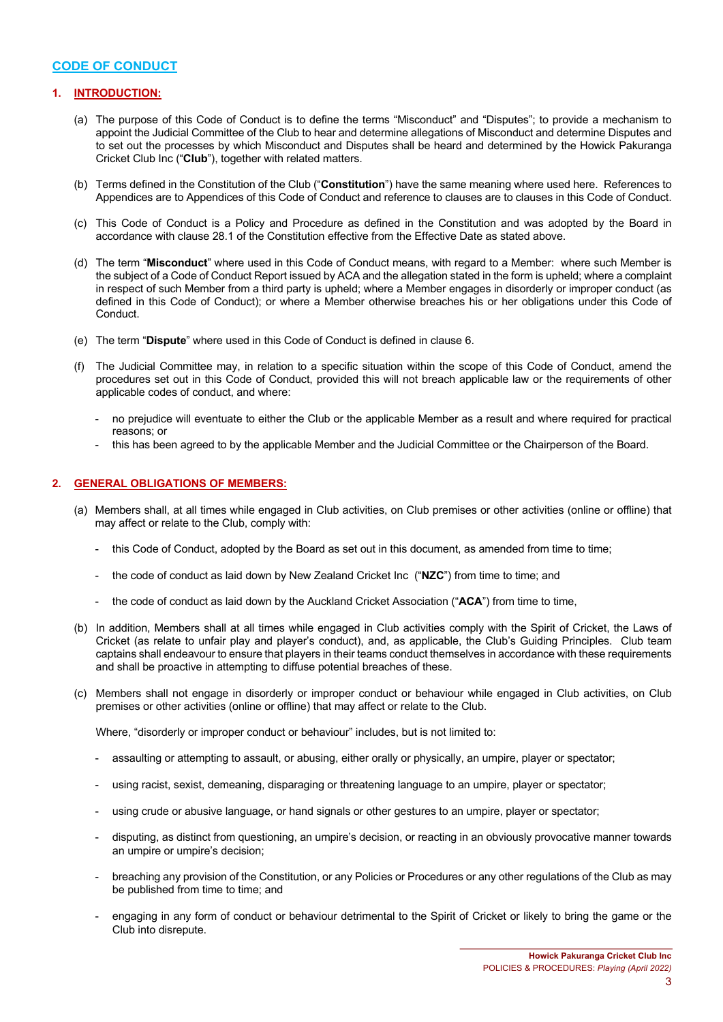### **CODE OF CONDUCT**

### **1. INTRODUCTION:**

- (a) The purpose of this Code of Conduct is to define the terms "Misconduct" and "Disputes"; to provide a mechanism to appoint the Judicial Committee of the Club to hear and determine allegations of Misconduct and determine Disputes and to set out the processes by which Misconduct and Disputes shall be heard and determined by the Howick Pakuranga Cricket Club Inc ("**Club**"), together with related matters.
- (b) Terms defined in the Constitution of the Club ("**Constitution**") have the same meaning where used here. References to Appendices are to Appendices of this Code of Conduct and reference to clauses are to clauses in this Code of Conduct.
- (c) This Code of Conduct is a Policy and Procedure as defined in the Constitution and was adopted by the Board in accordance with clause 28.1 of the Constitution effective from the Effective Date as stated above.
- (d) The term "**Misconduct**" where used in this Code of Conduct means, with regard to a Member: where such Member is the subject of a Code of Conduct Report issued by ACA and the allegation stated in the form is upheld; where a complaint in respect of such Member from a third party is upheld; where a Member engages in disorderly or improper conduct (as defined in this Code of Conduct); or where a Member otherwise breaches his or her obligations under this Code of Conduct.
- (e) The term "**Dispute**" where used in this Code of Conduct is defined in clause 6.
- (f) The Judicial Committee may, in relation to a specific situation within the scope of this Code of Conduct, amend the procedures set out in this Code of Conduct, provided this will not breach applicable law or the requirements of other applicable codes of conduct, and where:
	- no prejudice will eventuate to either the Club or the applicable Member as a result and where required for practical reasons; or
	- this has been agreed to by the applicable Member and the Judicial Committee or the Chairperson of the Board.

#### **2. GENERAL OBLIGATIONS OF MEMBERS:**

- (a) Members shall, at all times while engaged in Club activities, on Club premises or other activities (online or offline) that may affect or relate to the Club, comply with:
	- this Code of Conduct, adopted by the Board as set out in this document, as amended from time to time;
	- the code of conduct as laid down by New Zealand Cricket Inc ("NZC") from time to time; and
	- the code of conduct as laid down by the Auckland Cricket Association ("ACA") from time to time,
- (b) In addition, Members shall at all times while engaged in Club activities comply with the Spirit of Cricket, the Laws of Cricket (as relate to unfair play and player's conduct), and, as applicable, the Club's Guiding Principles. Club team captains shall endeavour to ensure that players in their teams conduct themselves in accordance with these requirements and shall be proactive in attempting to diffuse potential breaches of these.
- (c) Members shall not engage in disorderly or improper conduct or behaviour while engaged in Club activities, on Club premises or other activities (online or offline) that may affect or relate to the Club.

Where, "disorderly or improper conduct or behaviour" includes, but is not limited to:

- assaulting or attempting to assault, or abusing, either orally or physically, an umpire, player or spectator;
- using racist, sexist, demeaning, disparaging or threatening language to an umpire, player or spectator;
- using crude or abusive language, or hand signals or other gestures to an umpire, player or spectator;
- disputing, as distinct from questioning, an umpire's decision, or reacting in an obviously provocative manner towards an umpire or umpire's decision;
- breaching any provision of the Constitution, or any Policies or Procedures or any other regulations of the Club as may be published from time to time; and
- engaging in any form of conduct or behaviour detrimental to the Spirit of Cricket or likely to bring the game or the Club into disrepute.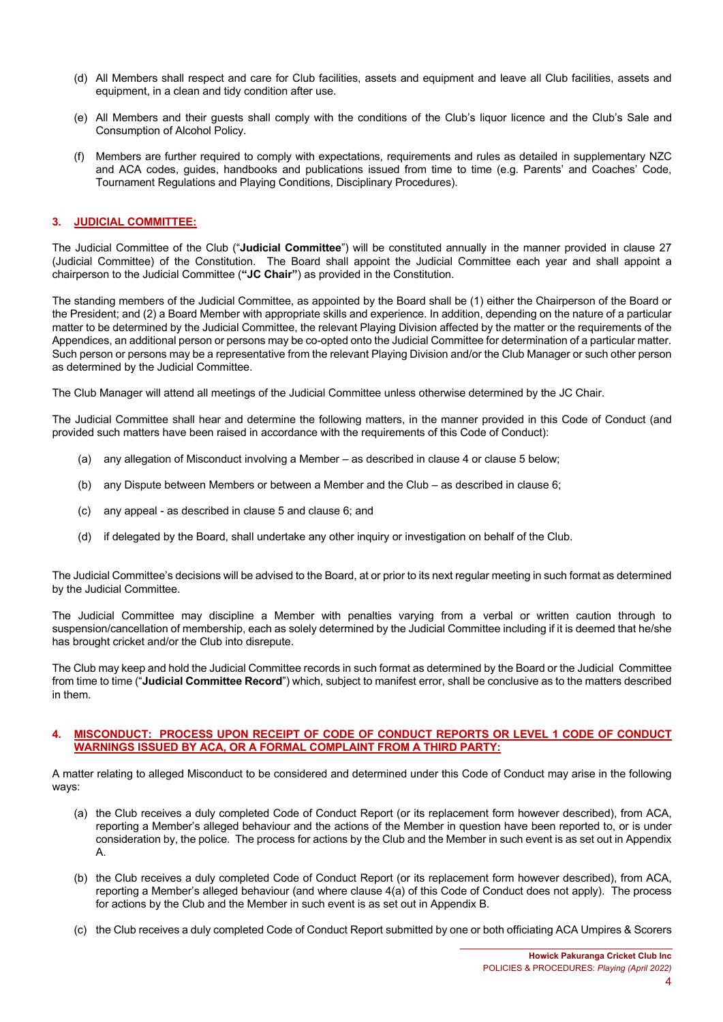- (d) All Members shall respect and care for Club facilities, assets and equipment and leave all Club facilities, assets and equipment, in a clean and tidy condition after use.
- (e) All Members and their guests shall comply with the conditions of the Club's liquor licence and the Club's Sale and Consumption of Alcohol Policy.
- (f) Members are further required to comply with expectations, requirements and rules as detailed in supplementary NZC and ACA codes, guides, handbooks and publications issued from time to time (e.g. Parents' and Coaches' Code, Tournament Regulations and Playing Conditions, Disciplinary Procedures).

### **3. JUDICIAL COMMITTEE:**

The Judicial Committee of the Club ("**Judicial Committee**") will be constituted annually in the manner provided in clause 27 (Judicial Committee) of the Constitution. The Board shall appoint the Judicial Committee each year and shall appoint a chairperson to the Judicial Committee (**"JC Chair"**) as provided in the Constitution.

The standing members of the Judicial Committee, as appointed by the Board shall be (1) either the Chairperson of the Board or the President; and (2) a Board Member with appropriate skills and experience. In addition, depending on the nature of a particular matter to be determined by the Judicial Committee, the relevant Playing Division affected by the matter or the requirements of the Appendices, an additional person or persons may be co-opted onto the Judicial Committee for determination of a particular matter. Such person or persons may be a representative from the relevant Playing Division and/or the Club Manager or such other person as determined by the Judicial Committee.

The Club Manager will attend all meetings of the Judicial Committee unless otherwise determined by the JC Chair.

The Judicial Committee shall hear and determine the following matters, in the manner provided in this Code of Conduct (and provided such matters have been raised in accordance with the requirements of this Code of Conduct):

- any allegation of Misconduct involving a Member as described in clause 4 or clause 5 below;
- (b) any Dispute between Members or between a Member and the Club as described in clause 6;
- (c) any appeal as described in clause 5 and clause 6; and
- (d) if delegated by the Board, shall undertake any other inquiry or investigation on behalf of the Club.

The Judicial Committee's decisions will be advised to the Board, at or prior to its next regular meeting in such format as determined by the Judicial Committee.

The Judicial Committee may discipline a Member with penalties varying from a verbal or written caution through to suspension/cancellation of membership, each as solely determined by the Judicial Committee including if it is deemed that he/she has brought cricket and/or the Club into disrepute.

The Club may keep and hold the Judicial Committee records in such format as determined by the Board or the Judicial Committee from time to time ("**Judicial Committee Record**") which, subject to manifest error, shall be conclusive as to the matters described in them.

#### **4. MISCONDUCT: PROCESS UPON RECEIPT OF CODE OF CONDUCT REPORTS OR LEVEL 1 CODE OF CONDUCT WARNINGS ISSUED BY ACA, OR A FORMAL COMPLAINT FROM A THIRD PARTY:**

A matter relating to alleged Misconduct to be considered and determined under this Code of Conduct may arise in the following ways:

- (a) the Club receives a duly completed Code of Conduct Report (or its replacement form however described), from ACA, reporting a Member's alleged behaviour and the actions of the Member in question have been reported to, or is under consideration by, the police. The process for actions by the Club and the Member in such event is as set out in Appendix A.
- (b) the Club receives a duly completed Code of Conduct Report (or its replacement form however described), from ACA, reporting a Member's alleged behaviour (and where clause 4(a) of this Code of Conduct does not apply). The process for actions by the Club and the Member in such event is as set out in Appendix B.
- (c) the Club receives a duly completed Code of Conduct Report submitted by one or both officiating ACA Umpires & Scorers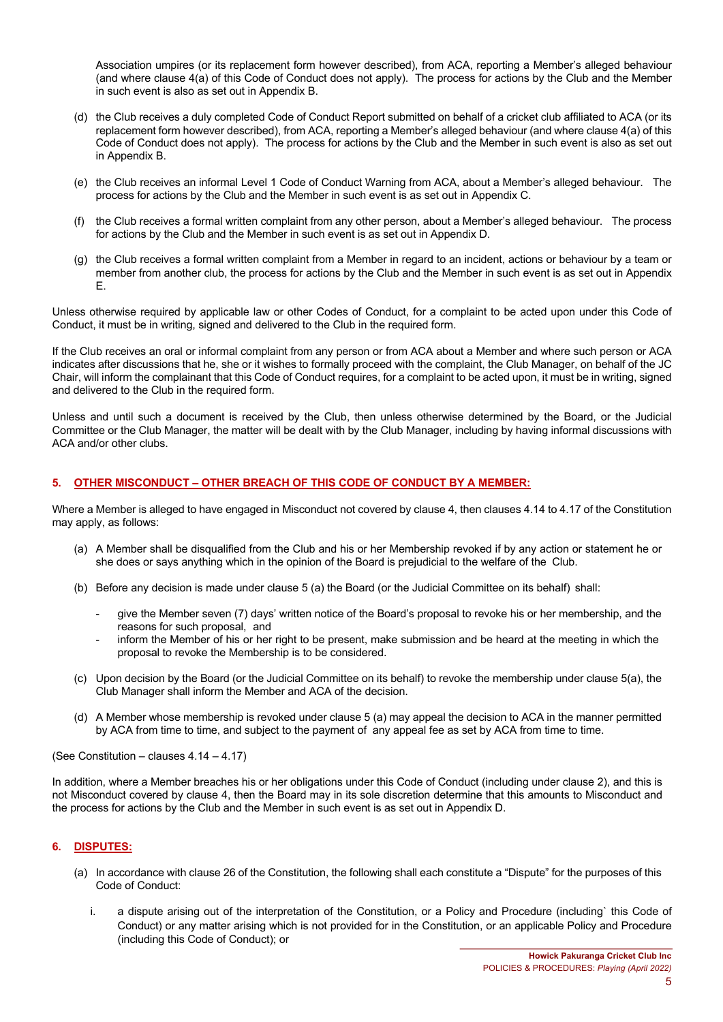Association umpires (or its replacement form however described), from ACA, reporting a Member's alleged behaviour (and where clause 4(a) of this Code of Conduct does not apply). The process for actions by the Club and the Member in such event is also as set out in Appendix B.

- (d) the Club receives a duly completed Code of Conduct Report submitted on behalf of a cricket club affiliated to ACA (or its replacement form however described), from ACA, reporting a Member's alleged behaviour (and where clause 4(a) of this Code of Conduct does not apply). The process for actions by the Club and the Member in such event is also as set out in Appendix B.
- (e) the Club receives an informal Level 1 Code of Conduct Warning from ACA, about a Member's alleged behaviour. The process for actions by the Club and the Member in such event is as set out in Appendix C.
- (f) the Club receives a formal written complaint from any other person, about a Member's alleged behaviour. The process for actions by the Club and the Member in such event is as set out in Appendix D.
- (g) the Club receives a formal written complaint from a Member in regard to an incident, actions or behaviour by a team or member from another club, the process for actions by the Club and the Member in such event is as set out in Appendix E.

Unless otherwise required by applicable law or other Codes of Conduct, for a complaint to be acted upon under this Code of Conduct, it must be in writing, signed and delivered to the Club in the required form.

If the Club receives an oral or informal complaint from any person or from ACA about a Member and where such person or ACA indicates after discussions that he, she or it wishes to formally proceed with the complaint, the Club Manager, on behalf of the JC Chair, will inform the complainant that this Code of Conduct requires, for a complaint to be acted upon, it must be in writing, signed and delivered to the Club in the required form.

Unless and until such a document is received by the Club, then unless otherwise determined by the Board, or the Judicial Committee or the Club Manager, the matter will be dealt with by the Club Manager, including by having informal discussions with ACA and/or other clubs.

### **5. OTHER MISCONDUCT – OTHER BREACH OF THIS CODE OF CONDUCT BY A MEMBER:**

Where a Member is alleged to have engaged in Misconduct not covered by clause 4, then clauses 4.14 to 4.17 of the Constitution may apply, as follows:

- (a) A Member shall be disqualified from the Club and his or her Membership revoked if by any action or statement he or she does or says anything which in the opinion of the Board is prejudicial to the welfare of the Club.
- (b) Before any decision is made under clause 5 (a) the Board (or the Judicial Committee on its behalf) shall:
	- give the Member seven (7) days' written notice of the Board's proposal to revoke his or her membership, and the reasons for such proposal, and
	- inform the Member of his or her right to be present, make submission and be heard at the meeting in which the proposal to revoke the Membership is to be considered.
- (c) Upon decision by the Board (or the Judicial Committee on its behalf) to revoke the membership under clause 5(a), the Club Manager shall inform the Member and ACA of the decision.
- (d) A Member whose membership is revoked under clause 5 (a) may appeal the decision to ACA in the manner permitted by ACA from time to time, and subject to the payment of any appeal fee as set by ACA from time to time.

(See Constitution – clauses 4.14 – 4.17)

In addition, where a Member breaches his or her obligations under this Code of Conduct (including under clause 2), and this is not Misconduct covered by clause 4, then the Board may in its sole discretion determine that this amounts to Misconduct and the process for actions by the Club and the Member in such event is as set out in Appendix D.

### **6. DISPUTES:**

- (a) In accordance with clause 26 of the Constitution, the following shall each constitute a "Dispute" for the purposes of this Code of Conduct:
	- i. a dispute arising out of the interpretation of the Constitution, or a Policy and Procedure (including` this Code of Conduct) or any matter arising which is not provided for in the Constitution, or an applicable Policy and Procedure (including this Code of Conduct); or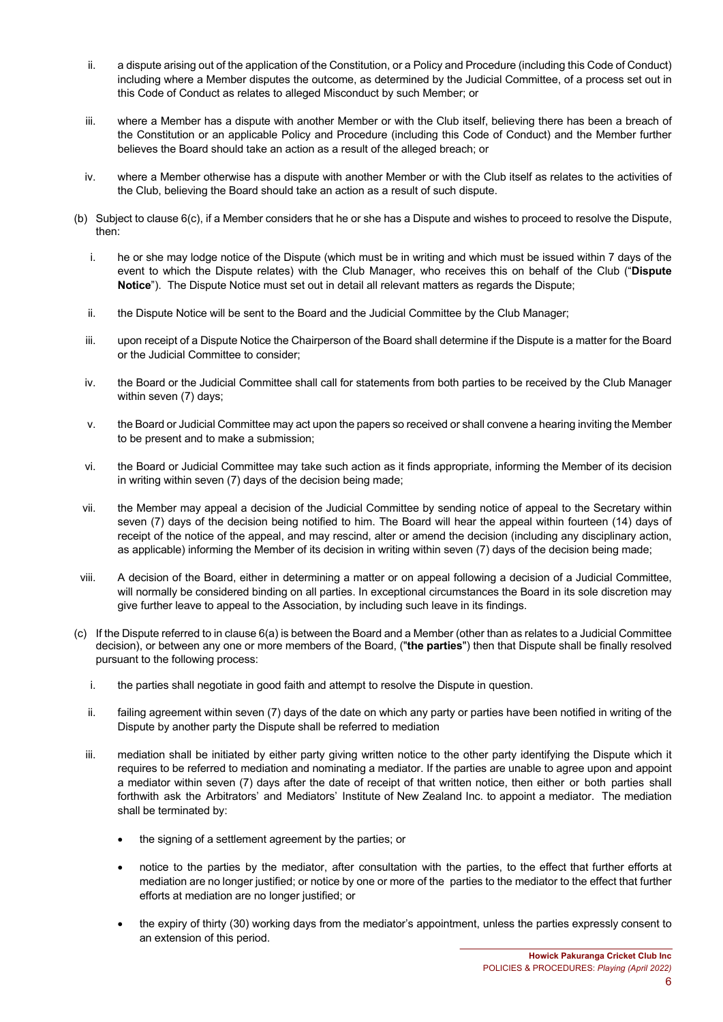- ii. a dispute arising out of the application of the Constitution, or a Policy and Procedure (including this Code of Conduct) including where a Member disputes the outcome, as determined by the Judicial Committee, of a process set out in this Code of Conduct as relates to alleged Misconduct by such Member; or
- iii. where a Member has a dispute with another Member or with the Club itself, believing there has been a breach of the Constitution or an applicable Policy and Procedure (including this Code of Conduct) and the Member further believes the Board should take an action as a result of the alleged breach; or
- iv. where a Member otherwise has a dispute with another Member or with the Club itself as relates to the activities of the Club, believing the Board should take an action as a result of such dispute.
- (b) Subject to clause 6(c), if a Member considers that he or she has a Dispute and wishes to proceed to resolve the Dispute, then:
	- i. he or she may lodge notice of the Dispute (which must be in writing and which must be issued within 7 days of the event to which the Dispute relates) with the Club Manager, who receives this on behalf of the Club ("**Dispute Notice**"). The Dispute Notice must set out in detail all relevant matters as regards the Dispute;
	- ii. the Dispute Notice will be sent to the Board and the Judicial Committee by the Club Manager;
	- iii. upon receipt of a Dispute Notice the Chairperson of the Board shall determine if the Dispute is a matter for the Board or the Judicial Committee to consider;
	- iv. the Board or the Judicial Committee shall call for statements from both parties to be received by the Club Manager within seven (7) days;
	- v. the Board or Judicial Committee may act upon the papers so received or shall convene a hearing inviting the Member to be present and to make a submission;
	- vi. the Board or Judicial Committee may take such action as it finds appropriate, informing the Member of its decision in writing within seven (7) days of the decision being made;
	- vii. the Member may appeal a decision of the Judicial Committee by sending notice of appeal to the Secretary within seven (7) days of the decision being notified to him. The Board will hear the appeal within fourteen (14) days of receipt of the notice of the appeal, and may rescind, alter or amend the decision (including any disciplinary action, as applicable) informing the Member of its decision in writing within seven (7) days of the decision being made;
- viii. A decision of the Board, either in determining a matter or on appeal following a decision of a Judicial Committee, will normally be considered binding on all parties. In exceptional circumstances the Board in its sole discretion may give further leave to appeal to the Association, by including such leave in its findings.
- (c) If the Dispute referred to in clause 6(a) is between the Board and a Member (other than as relates to a Judicial Committee decision), or between any one or more members of the Board, ("**the parties**") then that Dispute shall be finally resolved pursuant to the following process:
	- i. the parties shall negotiate in good faith and attempt to resolve the Dispute in question.
	- ii. failing agreement within seven (7) days of the date on which any party or parties have been notified in writing of the Dispute by another party the Dispute shall be referred to mediation
	- iii. mediation shall be initiated by either party giving written notice to the other party identifying the Dispute which it requires to be referred to mediation and nominating a mediator. If the parties are unable to agree upon and appoint a mediator within seven (7) days after the date of receipt of that written notice, then either or both parties shall forthwith ask the Arbitrators' and Mediators' Institute of New Zealand Inc. to appoint a mediator. The mediation shall be terminated by:
		- the signing of a settlement agreement by the parties; or
		- notice to the parties by the mediator, after consultation with the parties, to the effect that further efforts at mediation are no longer justified; or notice by one or more of the parties to the mediator to the effect that further efforts at mediation are no longer justified; or
		- the expiry of thirty (30) working days from the mediator's appointment, unless the parties expressly consent to an extension of this period.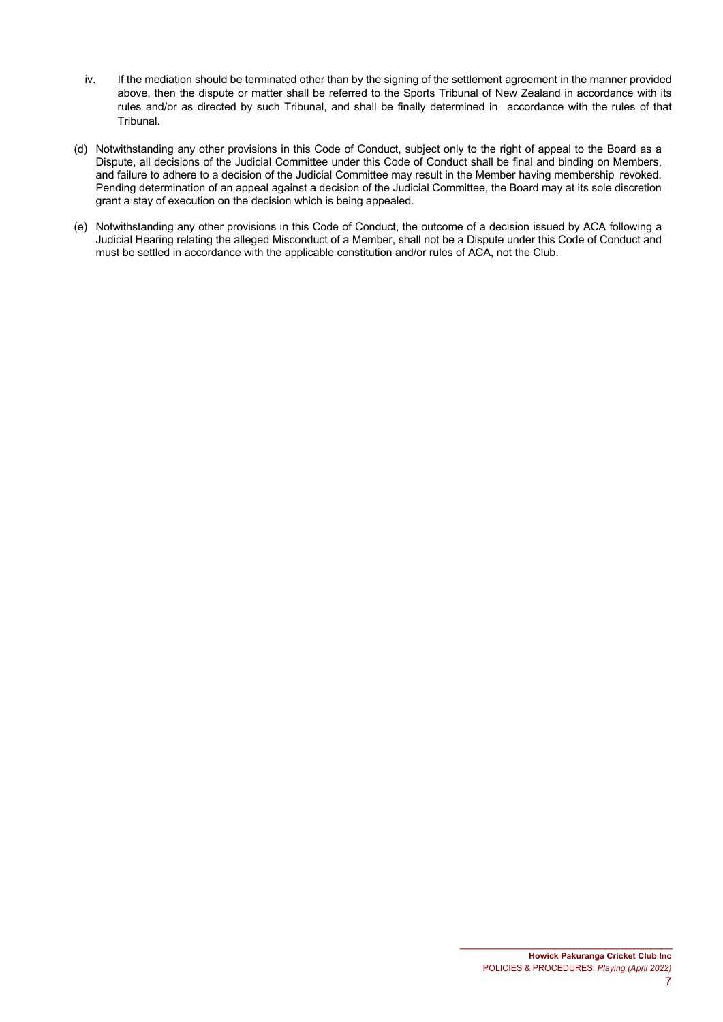- iv. If the mediation should be terminated other than by the signing of the settlement agreement in the manner provided above, then the dispute or matter shall be referred to the Sports Tribunal of New Zealand in accordance with its rules and/or as directed by such Tribunal, and shall be finally determined in accordance with the rules of that Tribunal.
- (d) Notwithstanding any other provisions in this Code of Conduct, subject only to the right of appeal to the Board as a Dispute, all decisions of the Judicial Committee under this Code of Conduct shall be final and binding on Members, and failure to adhere to a decision of the Judicial Committee may result in the Member having membership revoked. Pending determination of an appeal against a decision of the Judicial Committee, the Board may at its sole discretion grant a stay of execution on the decision which is being appealed.
- (e) Notwithstanding any other provisions in this Code of Conduct, the outcome of a decision issued by ACA following a Judicial Hearing relating the alleged Misconduct of a Member, shall not be a Dispute under this Code of Conduct and must be settled in accordance with the applicable constitution and/or rules of ACA, not the Club.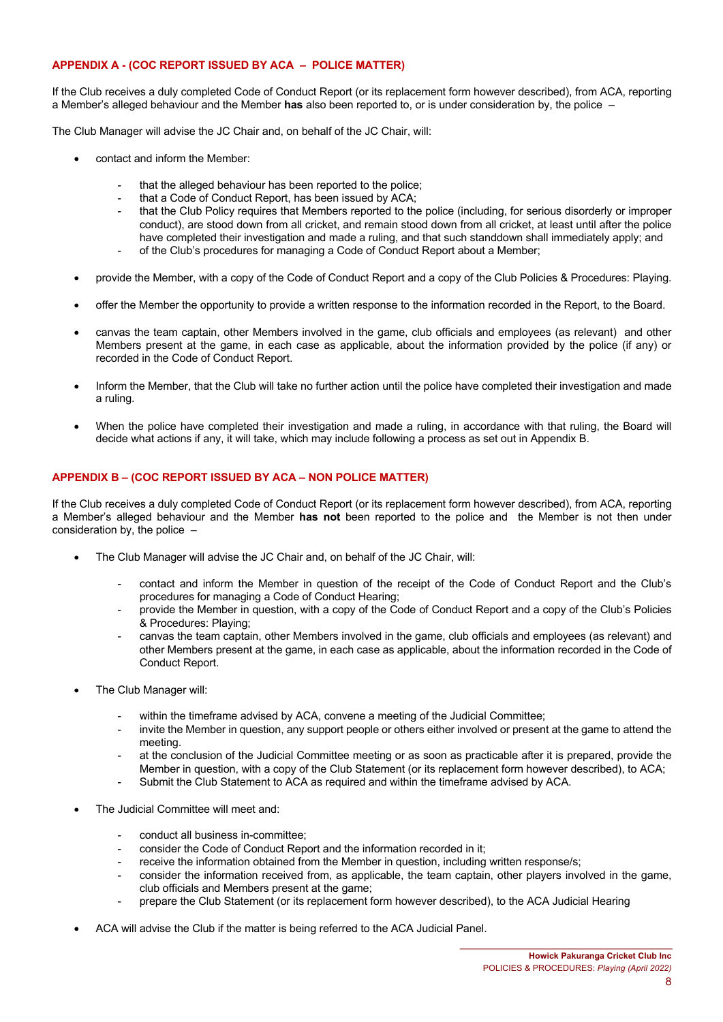### **APPENDIX A - (COC REPORT ISSUED BY ACA – POLICE MATTER)**

If the Club receives a duly completed Code of Conduct Report (or its replacement form however described), from ACA, reporting a Member's alleged behaviour and the Member **has** also been reported to, or is under consideration by, the police –

The Club Manager will advise the JC Chair and, on behalf of the JC Chair, will:

- contact and inform the Member:
	- that the alleged behaviour has been reported to the police;
	- that a Code of Conduct Report, has been issued by ACA;
	- that the Club Policy requires that Members reported to the police (including, for serious disorderly or improper conduct), are stood down from all cricket, and remain stood down from all cricket, at least until after the police have completed their investigation and made a ruling, and that such standdown shall immediately apply; and
	- of the Club's procedures for managing a Code of Conduct Report about a Member;
- provide the Member, with a copy of the Code of Conduct Report and a copy of the Club Policies & Procedures: Playing.
- offer the Member the opportunity to provide a written response to the information recorded in the Report, to the Board.
- canvas the team captain, other Members involved in the game, club officials and employees (as relevant) and other Members present at the game, in each case as applicable, about the information provided by the police (if any) or recorded in the Code of Conduct Report.
- Inform the Member, that the Club will take no further action until the police have completed their investigation and made a ruling.
- When the police have completed their investigation and made a ruling, in accordance with that ruling, the Board will decide what actions if any, it will take, which may include following a process as set out in Appendix B.

# **APPENDIX B – (COC REPORT ISSUED BY ACA – NON POLICE MATTER)**

If the Club receives a duly completed Code of Conduct Report (or its replacement form however described), from ACA, reporting a Member's alleged behaviour and the Member **has not** been reported to the police and the Member is not then under consideration by, the police –

- The Club Manager will advise the JC Chair and, on behalf of the JC Chair, will:
	- contact and inform the Member in question of the receipt of the Code of Conduct Report and the Club's procedures for managing a Code of Conduct Hearing;
	- provide the Member in question, with a copy of the Code of Conduct Report and a copy of the Club's Policies & Procedures: Playing;
	- canvas the team captain, other Members involved in the game, club officials and employees (as relevant) and other Members present at the game, in each case as applicable, about the information recorded in the Code of Conduct Report.
- The Club Manager will:
	- within the timeframe advised by ACA, convene a meeting of the Judicial Committee;
	- invite the Member in question, any support people or others either involved or present at the game to attend the meeting.
	- at the conclusion of the Judicial Committee meeting or as soon as practicable after it is prepared, provide the Member in question, with a copy of the Club Statement (or its replacement form however described), to ACA;
	- Submit the Club Statement to ACA as required and within the timeframe advised by ACA.
- The Judicial Committee will meet and:
	- conduct all business in-committee;
	- consider the Code of Conduct Report and the information recorded in it;
	- receive the information obtained from the Member in question, including written response/s;
	- consider the information received from, as applicable, the team captain, other players involved in the game, club officials and Members present at the game;
	- prepare the Club Statement (or its replacement form however described), to the ACA Judicial Hearing
- ACA will advise the Club if the matter is being referred to the ACA Judicial Panel.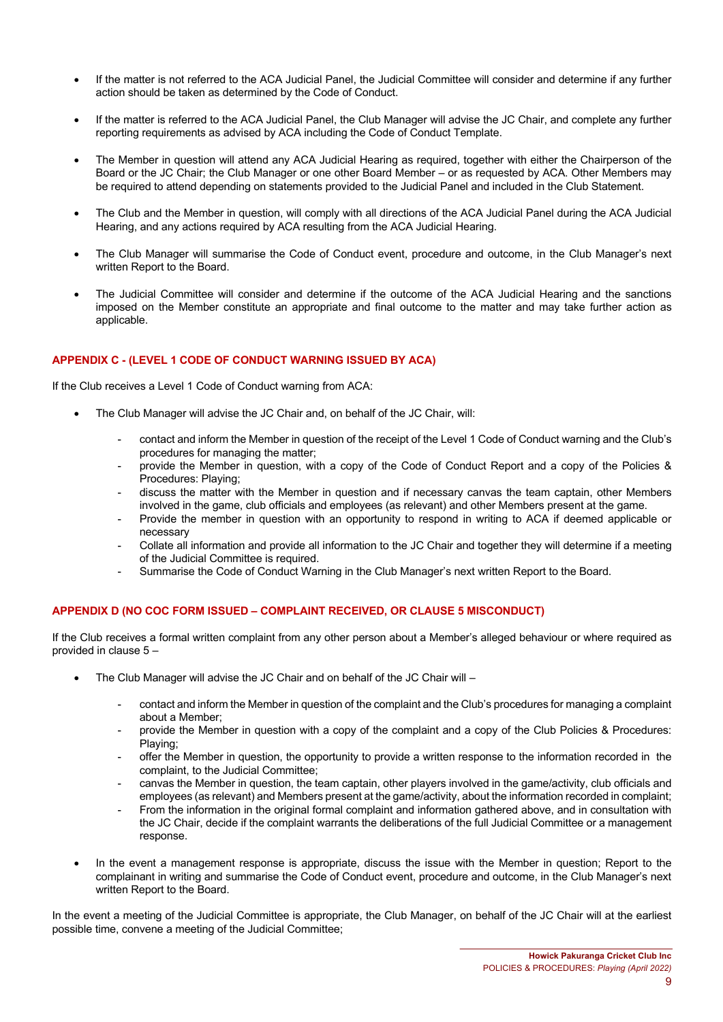- If the matter is not referred to the ACA Judicial Panel, the Judicial Committee will consider and determine if any further action should be taken as determined by the Code of Conduct.
- If the matter is referred to the ACA Judicial Panel, the Club Manager will advise the JC Chair, and complete any further reporting requirements as advised by ACA including the Code of Conduct Template.
- The Member in question will attend any ACA Judicial Hearing as required, together with either the Chairperson of the Board or the JC Chair; the Club Manager or one other Board Member – or as requested by ACA. Other Members may be required to attend depending on statements provided to the Judicial Panel and included in the Club Statement.
- The Club and the Member in question, will comply with all directions of the ACA Judicial Panel during the ACA Judicial Hearing, and any actions required by ACA resulting from the ACA Judicial Hearing.
- The Club Manager will summarise the Code of Conduct event, procedure and outcome, in the Club Manager's next written Report to the Board.
- The Judicial Committee will consider and determine if the outcome of the ACA Judicial Hearing and the sanctions imposed on the Member constitute an appropriate and final outcome to the matter and may take further action as applicable.

# **APPENDIX C - (LEVEL 1 CODE OF CONDUCT WARNING ISSUED BY ACA)**

If the Club receives a Level 1 Code of Conduct warning from ACA:

- The Club Manager will advise the JC Chair and, on behalf of the JC Chair, will:
	- contact and inform the Member in question of the receipt of the Level 1 Code of Conduct warning and the Club's procedures for managing the matter;
	- provide the Member in question, with a copy of the Code of Conduct Report and a copy of the Policies & Procedures: Playing;
	- discuss the matter with the Member in question and if necessary canvas the team captain, other Members involved in the game, club officials and employees (as relevant) and other Members present at the game.
	- Provide the member in question with an opportunity to respond in writing to ACA if deemed applicable or necessary
	- Collate all information and provide all information to the JC Chair and together they will determine if a meeting of the Judicial Committee is required.
	- Summarise the Code of Conduct Warning in the Club Manager's next written Report to the Board.

### **APPENDIX D (NO COC FORM ISSUED – COMPLAINT RECEIVED, OR CLAUSE 5 MISCONDUCT)**

If the Club receives a formal written complaint from any other person about a Member's alleged behaviour or where required as provided in clause 5 –

- The Club Manager will advise the JC Chair and on behalf of the JC Chair will
	- contact and inform the Member in question of the complaint and the Club's procedures for managing a complaint about a Member;
	- provide the Member in question with a copy of the complaint and a copy of the Club Policies & Procedures: Playing;
	- offer the Member in question, the opportunity to provide a written response to the information recorded in the complaint, to the Judicial Committee;
	- canvas the Member in question, the team captain, other players involved in the game/activity, club officials and employees (as relevant) and Members present at the game/activity, about the information recorded in complaint;
	- From the information in the original formal complaint and information gathered above, and in consultation with the JC Chair, decide if the complaint warrants the deliberations of the full Judicial Committee or a management response.
- In the event a management response is appropriate, discuss the issue with the Member in question; Report to the complainant in writing and summarise the Code of Conduct event, procedure and outcome, in the Club Manager's next written Report to the Board.

In the event a meeting of the Judicial Committee is appropriate, the Club Manager, on behalf of the JC Chair will at the earliest possible time, convene a meeting of the Judicial Committee;